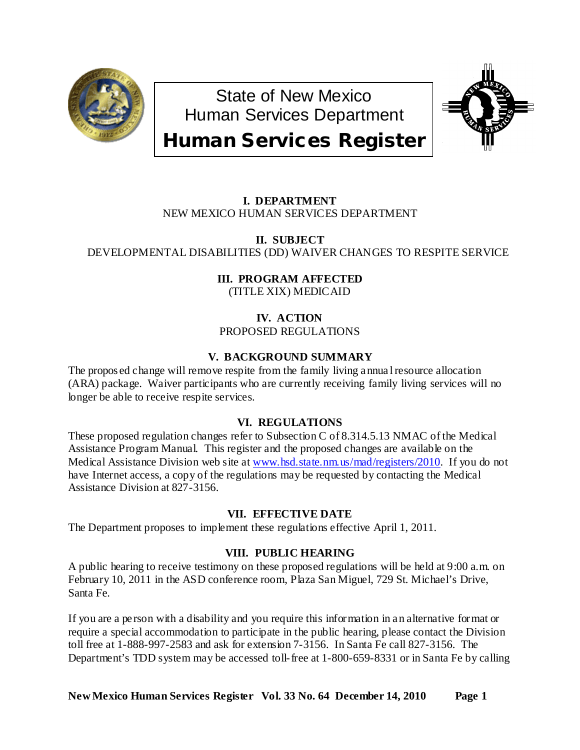

State of New Mexico Human Services Department



# Human Services Register

# **I. DEPARTMENT** NEW MEXICO HUMAN SERVICES DEPARTMENT

**II. SUBJECT** DEVELOPMENTAL DISABILITIES (DD) WAIVER CHANGES TO RESPITE SERVICE

> **III. PROGRAM AFFECTED** (TITLE XIX) MEDICAID

**IV. ACTION** PROPOSED REGULATIONS

## **V. BACKGROUND SUMMARY**

The propos ed change will remove respite from the family living annua l resource allocation (ARA) package. Waiver participants who are currently receiving family living services will no longer be able to receive respite services.

# **VI. REGULATIONS**

These proposed regulation changes refer to Subsection C of 8.314.5.13 NMAC of the Medical Assistance Program Manual. This register and the proposed changes are available on the Medical Assistance Division web site at [www.hsd.state.nm.us/mad/registers/2010.](http://www.hsd.state.nm.us/mad/registers/2010) If you do not have Internet access, a copy of the regulations may be requested by contacting the Medical Assistance Division at 827-3156.

## **VII. EFFECTIVE DATE**

The Department proposes to implement these regulations effective April 1, 2011.

## **VIII. PUBLIC HEARING**

A public hearing to receive testimony on these proposed regulations will be held at 9:00 a.m. on February 10, 2011 in the ASD conference room, Plaza San Miguel, 729 St. Michael's Drive, Santa Fe.

If you are a person with a disability and you require this information in an alternative format or require a special accommodation to participate in the public hearing, please contact the Division toll free at 1-888-997-2583 and ask for extension 7-3156. In Santa Fe call 827-3156. The Department's TDD system may be accessed toll-free at 1-800-659-8331 or in Santa Fe by calling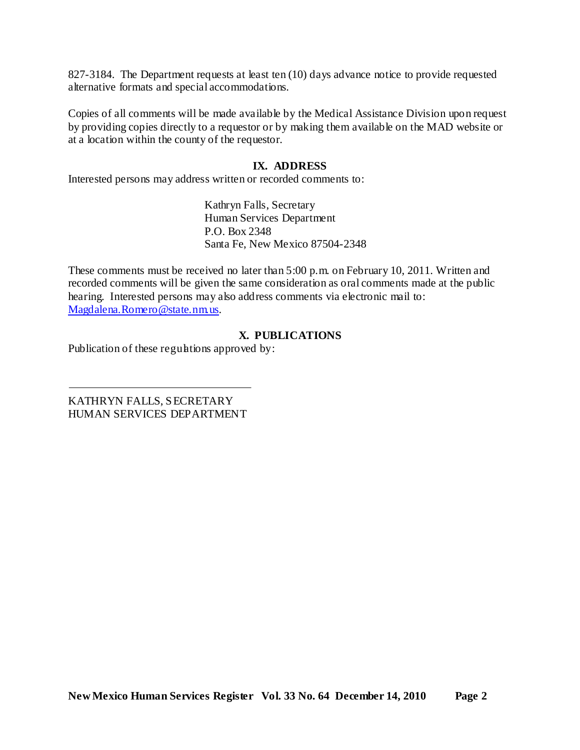827-3184. The Department requests at least ten (10) days advance notice to provide requested alternative formats and special accommodations.

Copies of all comments will be made available by the Medical Assistance Division upon request by providing copies directly to a requestor or by making them available on the MAD website or at a location within the county of the requestor.

#### **IX. ADDRESS**

Interested persons may address written or recorded comments to:

Kathryn Falls, Secretary Human Services Department P.O. Box 2348 Santa Fe, New Mexico 87504-2348

These comments must be received no later than 5:00 p.m. on February 10, 2011. Written and recorded comments will be given the same consideration as oral comments made at the public hearing. Interested persons may also address comments via electronic mail to: [Magdalena.Romero@state.nm.us.](mailto:Magdalena.Romero@state.nm.us)

#### **X. PUBLICATIONS**

Publication of these regulations approved by:

KATHRYN FALLS, SECRETARY HUMAN SERVICES DEPARTMENT